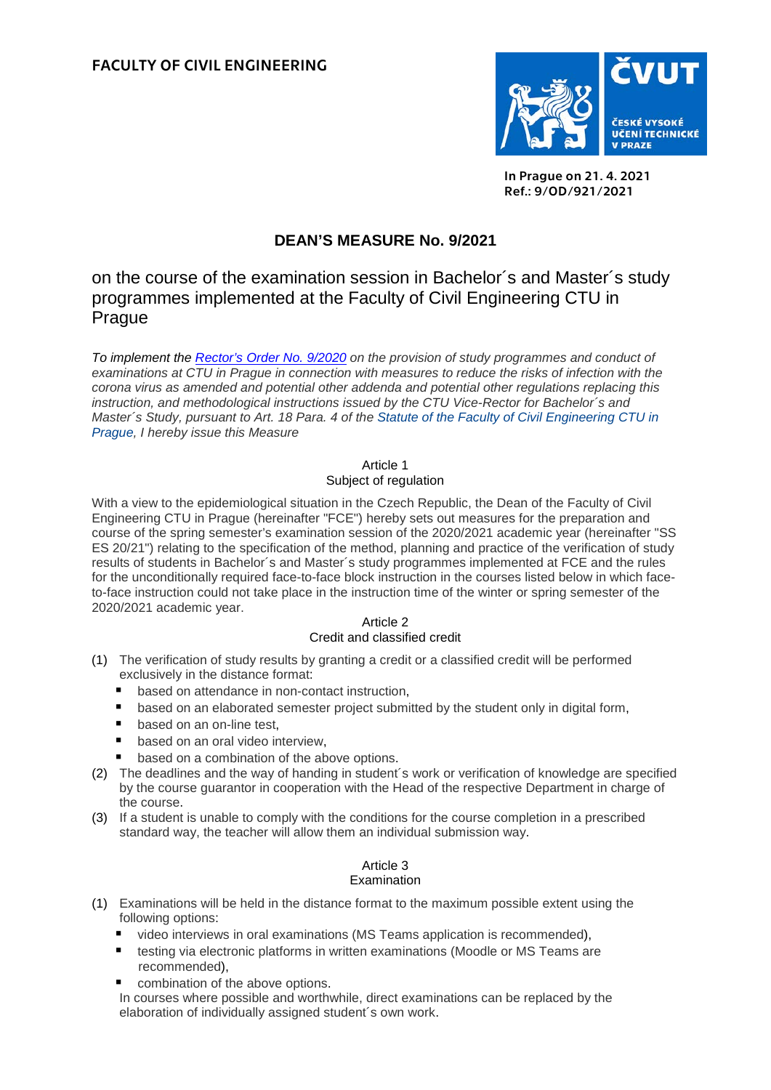

In Prague on 21. 4. 2021 Ref.: 9/OD/921/2021

# **DEAN'S MEASURE No. 9/2021**

on the course of the examination session in Bachelor´s and Master´s study programmes implemented at the Faculty of Civil Engineering CTU in Prague

*To implement the [Rector's Order No.](https://www.cvut.cz/en/ctu-coronavirus-information) 9/2020 on the provision of study programmes and conduct of examinations at CTU in Prague in connection with measures to reduce the risks of infection with the corona virus as amended and potential other addenda and potential other regulations replacing this instruction, and methodological instructions issued by the CTU Vice-Rector for Bachelor´s and Master´s Study, pursuant to Art. 18 Para. 4 of the [Statute of the Faculty of Civil Engineering CTU in](https://www.fsv.cvut.cz/en/legislat/statute.pdf)  [Prague,](https://www.fsv.cvut.cz/en/legislat/statute.pdf) I hereby issue this Measure*

# Article 1

# Subject of regulation

With a view to the epidemiological situation in the Czech Republic, the Dean of the Faculty of Civil Engineering CTU in Prague (hereinafter "FCE") hereby sets out measures for the preparation and course of the spring semester's examination session of the 2020/2021 academic year (hereinafter "SS ES 20/21") relating to the specification of the method, planning and practice of the verification of study results of students in Bachelor´s and Master´s study programmes implemented at FCE and the rules for the unconditionally required face-to-face block instruction in the courses listed below in which faceto-face instruction could not take place in the instruction time of the winter or spring semester of the 2020/2021 academic year.

### Article 2 Credit and classified credit

- (1) The verification of study results by granting a credit or a classified credit will be performed exclusively in the distance format:
	- based on attendance in non-contact instruction,
	- **E** based on an elaborated semester project submitted by the student only in digital form,
	- based on an on-line test.
	- **based on an oral video interview,**
	- based on a combination of the above options.
- (2) The deadlines and the way of handing in student´s work or verification of knowledge are specified by the course guarantor in cooperation with the Head of the respective Department in charge of the course.
- (3) If a student is unable to comply with the conditions for the course completion in a prescribed standard way, the teacher will allow them an individual submission way.

#### Article 3 Examination

- (1) Examinations will be held in the distance format to the maximum possible extent using the following options:
	- video interviews in oral examinations (MS Teams application is recommended),
	- **testing via electronic platforms in written examinations (Moodle or MS Teams are** recommended),
	- combination of the above options.

In courses where possible and worthwhile, direct examinations can be replaced by the elaboration of individually assigned student´s own work.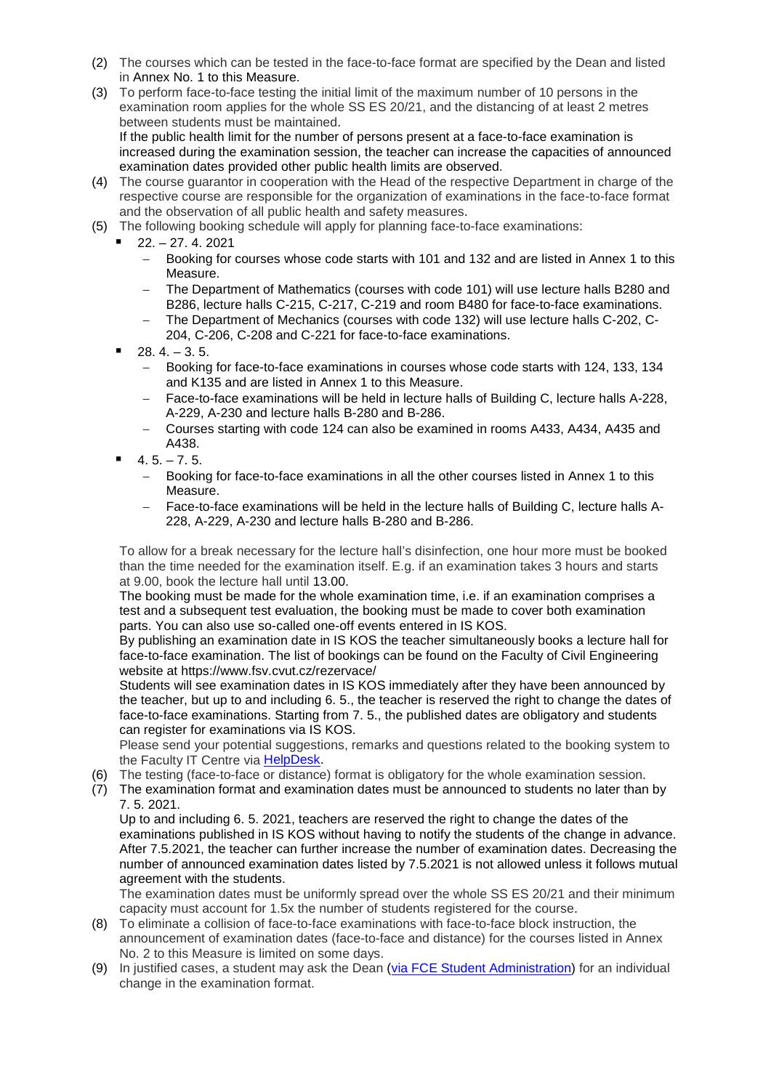- (2) The courses which can be tested in the face-to-face format are specified by the Dean and listed in Annex No. 1 to this Measure.
- (3) To perform face-to-face testing the initial limit of the maximum number of 10 persons in the examination room applies for the whole SS ES 20/21, and the distancing of at least 2 metres between students must be maintained.

If the public health limit for the number of persons present at a face-to-face examination is increased during the examination session, the teacher can increase the capacities of announced examination dates provided other public health limits are observed.

- (4) The course guarantor in cooperation with the Head of the respective Department in charge of the respective course are responsible for the organization of examinations in the face-to-face format and the observation of all public health and safety measures.
- (5) The following booking schedule will apply for planning face-to-face examinations:
- 22. 27. 4. 2021
	- − Booking for courses whose code starts with 101 and 132 and are listed in Annex 1 to this Measure.
	- The Department of Mathematics (courses with code 101) will use lecture halls B280 and B286, lecture halls C-215, C-217, C-219 and room B480 for face-to-face examinations.
	- − The Department of Mechanics (courses with code 132) will use lecture halls C-202, C-204, C-206, C-208 and C-221 for face-to-face examinations.
	- $28.4 3.5.$ 
		- − Booking for face-to-face examinations in courses whose code starts with 124, 133, 134 and K135 and are listed in Annex 1 to this Measure.
		- Face-to-face examinations will be held in lecture halls of Building C, lecture halls A-228, A-229, A-230 and lecture halls B-280 and B-286.
		- − Courses starting with code 124 can also be examined in rooms A433, A434, A435 and A438.
	- $4.5 7.5$ .
		- Booking for face-to-face examinations in all the other courses listed in Annex 1 to this Measure.
		- − Face-to-face examinations will be held in the lecture halls of Building C, lecture halls A-228, A-229, A-230 and lecture halls B-280 and B-286.

To allow for a break necessary for the lecture hall's disinfection, one hour more must be booked than the time needed for the examination itself. E.g. if an examination takes 3 hours and starts at 9.00, book the lecture hall until 13.00.

The booking must be made for the whole examination time, i.e. if an examination comprises a test and a subsequent test evaluation, the booking must be made to cover both examination parts. You can also use so-called one-off events entered in IS KOS.

By publishing an examination date in IS KOS the teacher simultaneously books a lecture hall for face-to-face examination. The list of bookings can be found on the Faculty of Civil Engineering website at https://www.fsv.cvut.cz/rezervace/

Students will see examination dates in IS KOS immediately after they have been announced by the teacher, but up to and including 6. 5., the teacher is reserved the right to change the dates of face-to-face examinations. Starting from 7. 5., the published dates are obligatory and students can register for examinations via IS KOS.

Please send your potential suggestions, remarks and questions related to the booking system to the Faculty IT Centre via [HelpDesk.](https://helpdesk.cvut.cz/)

- (6) The testing (face-to-face or distance) format is obligatory for the whole examination session.
- (7) The examination format and examination dates must be announced to students no later than by 7. 5. 2021.

Up to and including 6. 5. 2021, teachers are reserved the right to change the dates of the examinations published in IS KOS without having to notify the students of the change in advance. After 7.5.2021, the teacher can further increase the number of examination dates. Decreasing the number of announced examination dates listed by 7.5.2021 is not allowed unless it follows mutual agreement with the students.

The examination dates must be uniformly spread over the whole SS ES 20/21 and their minimum capacity must account for 1.5x the number of students registered for the course.

- (8) To eliminate a collision of face-to-face examinations with face-to-face block instruction, the announcement of examination dates (face-to-face and distance) for the courses listed in Annex No. 2 to this Measure is limited on some days.
- (9) In justified cases, a student may ask the Dean [\(via FCE Student Administration\)](https://www.fsv.cvut.cz/hlavni/educat/kontakt.php) for an individual change in the examination format.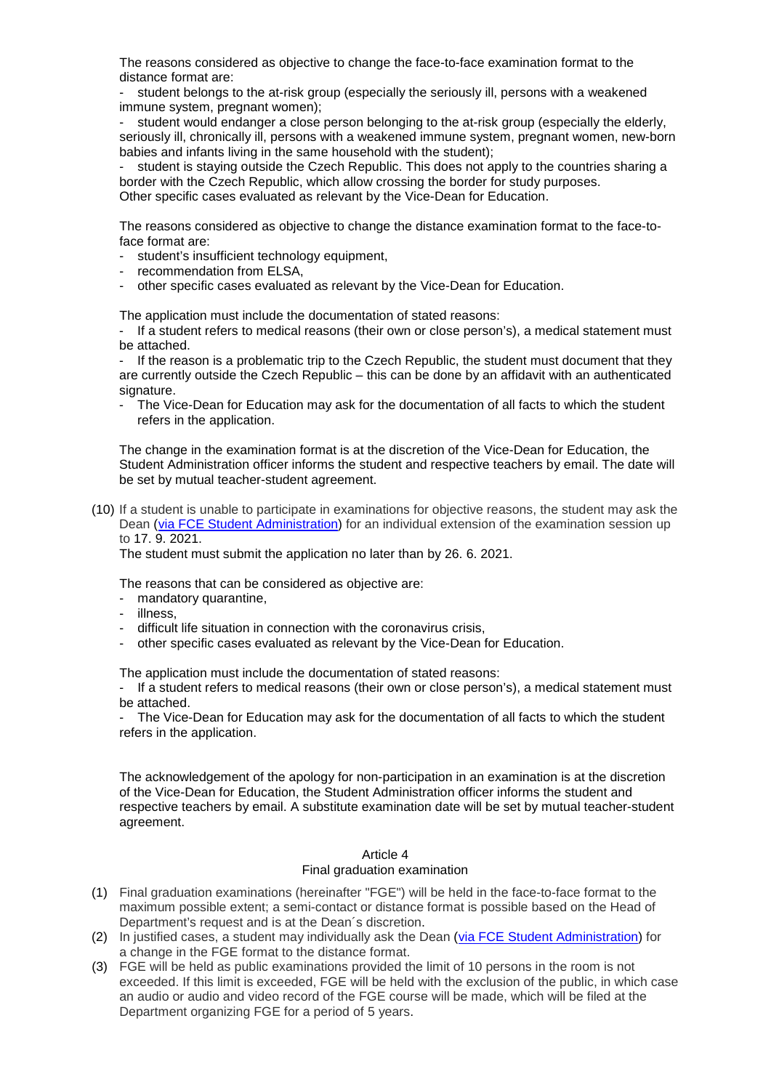The reasons considered as objective to change the face-to-face examination format to the distance format are:

student belongs to the at-risk group (especially the seriously ill, persons with a weakened immune system, pregnant women);

student would endanger a close person belonging to the at-risk group (especially the elderly, seriously ill, chronically ill, persons with a weakened immune system, pregnant women, new-born babies and infants living in the same household with the student);

student is staying outside the Czech Republic. This does not apply to the countries sharing a border with the Czech Republic, which allow crossing the border for study purposes. Other specific cases evaluated as relevant by the Vice-Dean for Education.

The reasons considered as objective to change the distance examination format to the face-toface format are:

- student's insufficient technology equipment,
- recommendation from ELSA,
- other specific cases evaluated as relevant by the Vice-Dean for Education.

The application must include the documentation of stated reasons:

- If a student refers to medical reasons (their own or close person's), a medical statement must be attached.

- If the reason is a problematic trip to the Czech Republic, the student must document that they are currently outside the Czech Republic – this can be done by an affidavit with an authenticated signature.

The Vice-Dean for Education may ask for the documentation of all facts to which the student refers in the application.

The change in the examination format is at the discretion of the Vice-Dean for Education, the Student Administration officer informs the student and respective teachers by email. The date will be set by mutual teacher-student agreement.

(10) If a student is unable to participate in examinations for objective reasons, the student may ask the Dean [\(via FCE Student Administration\)](https://www.fsv.cvut.cz/hlavni/educat/kontakt.php) for an individual extension of the examination session up to 17. 9. 2021.

The student must submit the application no later than by 26. 6. 2021.

The reasons that can be considered as objective are:

- mandatory quarantine,
- illness,
- difficult life situation in connection with the coronavirus crisis,
- other specific cases evaluated as relevant by the Vice-Dean for Education.

The application must include the documentation of stated reasons:

- If a student refers to medical reasons (their own or close person's), a medical statement must be attached.

The Vice-Dean for Education may ask for the documentation of all facts to which the student refers in the application.

The acknowledgement of the apology for non-participation in an examination is at the discretion of the Vice-Dean for Education, the Student Administration officer informs the student and respective teachers by email. A substitute examination date will be set by mutual teacher-student agreement.

## Article 4 Final graduation examination

- (1) Final graduation examinations (hereinafter "FGE") will be held in the face-to-face format to the maximum possible extent; a semi-contact or distance format is possible based on the Head of Department's request and is at the Dean´s discretion.
- (2) In justified cases, a student may individually ask the Dean [\(via FCE Student Administration\)](https://www.fsv.cvut.cz/hlavni/educat/kontakt.php) for a change in the FGE format to the distance format.
- (3) FGE will be held as public examinations provided the limit of 10 persons in the room is not exceeded. If this limit is exceeded, FGE will be held with the exclusion of the public, in which case an audio or audio and video record of the FGE course will be made, which will be filed at the Department organizing FGE for a period of 5 years.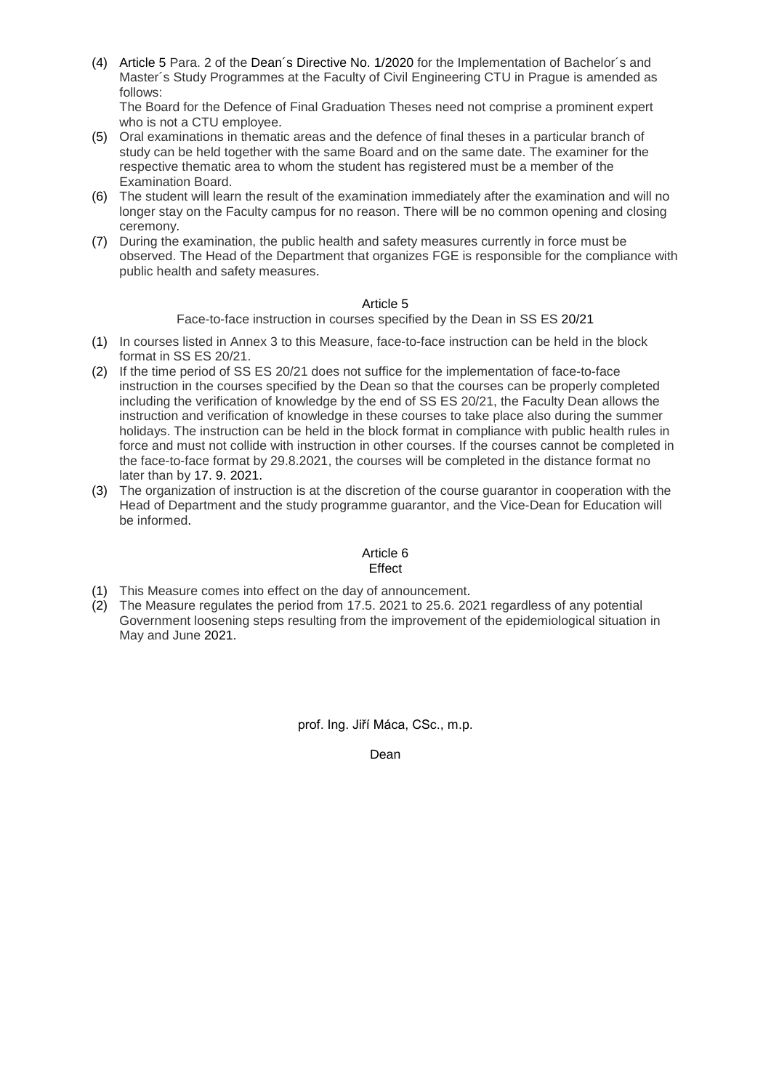(4) Article 5 Para. 2 of the [Dean´s Directive No. 1/2020](https://www.fsv.cvut.cz/en/legislat/smde0120e.php) for the Implementation of Bachelor´s and Master´s Study Programmes at the Faculty of Civil Engineering CTU in Prague is amended as follows:

The Board for the Defence of Final Graduation Theses need not comprise a prominent expert who is not a CTU employee.

- (5) Oral examinations in thematic areas and the defence of final theses in a particular branch of study can be held together with the same Board and on the same date. The examiner for the respective thematic area to whom the student has registered must be a member of the Examination Board.
- (6) The student will learn the result of the examination immediately after the examination and will no longer stay on the Faculty campus for no reason. There will be no common opening and closing ceremony.
- (7) During the examination, the public health and safety measures currently in force must be observed. The Head of the Department that organizes FGE is responsible for the compliance with public health and safety measures.

## Article 5

Face-to-face instruction in courses specified by the Dean in SS ES 20/21

- (1) In courses listed in Annex 3 to this Measure, face-to-face instruction can be held in the block format in SS ES 20/21.
- (2) If the time period of SS ES 20/21 does not suffice for the implementation of face-to-face instruction in the courses specified by the Dean so that the courses can be properly completed including the verification of knowledge by the end of SS ES 20/21, the Faculty Dean allows the instruction and verification of knowledge in these courses to take place also during the summer holidays. The instruction can be held in the block format in compliance with public health rules in force and must not collide with instruction in other courses. If the courses cannot be completed in the face-to-face format by 29.8.2021, the courses will be completed in the distance format no later than by 17. 9. 2021.
- (3) The organization of instruction is at the discretion of the course guarantor in cooperation with the Head of Department and the study programme guarantor, and the Vice-Dean for Education will be informed.

#### Article 6 **Effect**

- (1) This Measure comes into effect on the day of announcement.
- (2) The Measure regulates the period from 17.5. 2021 to 25.6. 2021 regardless of any potential Government loosening steps resulting from the improvement of the epidemiological situation in May and June 2021.

prof. Ing. Jiří Máca, CSc., m.p.

Dean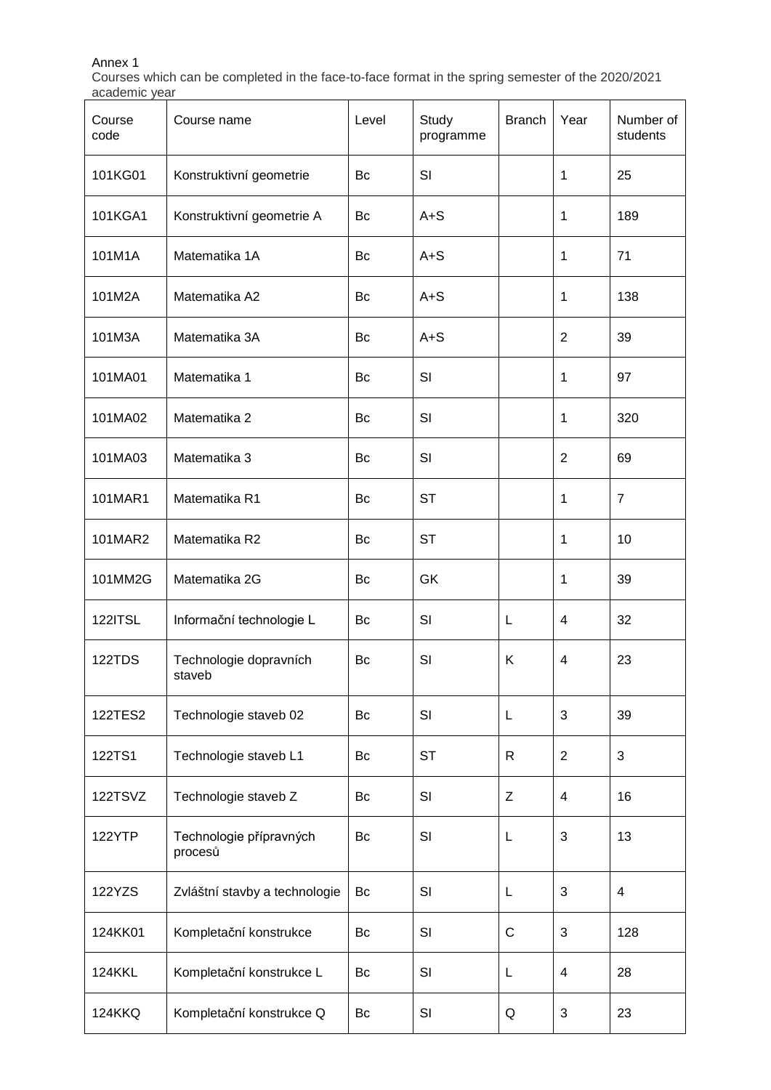# Annex 1

Courses which can be completed in the face-to-face format in the spring semester of the 2020/2021 academic year

| Course<br>code | Course name                        | Level | Study<br>programme | <b>Branch</b> | Year           | Number of<br>students |
|----------------|------------------------------------|-------|--------------------|---------------|----------------|-----------------------|
| 101KG01        | Konstruktivní geometrie            | Bc    | SI                 |               | 1              | 25                    |
| 101KGA1        | Konstruktivní geometrie A          | Bc    | $A + S$            |               | 1              | 189                   |
| 101M1A         | Matematika 1A                      | Bc    | $A + S$            |               | 1              | 71                    |
| 101M2A         | Matematika A2                      | Bc    | $A + S$            |               | 1              | 138                   |
| 101M3A         | Matematika 3A                      | Bc    | $A + S$            |               | $\overline{2}$ | 39                    |
| 101MA01        | Matematika 1                       | Bc    | SI                 |               | 1              | 97                    |
| 101MA02        | Matematika 2                       | Bc    | SI                 |               | 1              | 320                   |
| 101MA03        | Matematika 3                       | Bc    | SI                 |               | $\overline{2}$ | 69                    |
| 101MAR1        | Matematika R1                      | Bc    | <b>ST</b>          |               | 1              | $\overline{7}$        |
| 101MAR2        | Matematika R2                      | Bc    | <b>ST</b>          |               | 1              | 10                    |
| 101MM2G        | Matematika 2G                      | Bc    | GK                 |               | 1              | 39                    |
| <b>122ITSL</b> | Informační technologie L           | Bc    | SI                 | L             | 4              | 32                    |
| 122TDS         | Technologie dopravních<br>staveb   | Bc    | SI                 | Κ             | 4              | 23                    |
| 122TES2        | Technologie staveb 02              | Bc    | SI                 | L             | 3              | 39                    |
| 122TS1         | Technologie staveb L1              | Bc    | <b>ST</b>          | $\mathsf{R}$  | $\overline{2}$ | $\mathfrak{B}$        |
| 122TSVZ        | Technologie staveb Z               | Bc    | SI                 | Z             | 4              | 16                    |
| 122YTP         | Technologie přípravných<br>procesů | Bc    | SI                 | L             | 3              | 13                    |
| 122YZS         | Zvláštní stavby a technologie      | Bc    | SI                 | L             | 3              | $\overline{4}$        |
| 124KK01        | Kompletační konstrukce             | Bc    | SI                 | $\mathsf{C}$  | 3              | 128                   |
| <b>124KKL</b>  | Kompletační konstrukce L           | Bc    | SI                 | L             | $\overline{4}$ | 28                    |
| <b>124KKQ</b>  | Kompletační konstrukce Q           | Bc    | SI                 | Q             | 3              | 23                    |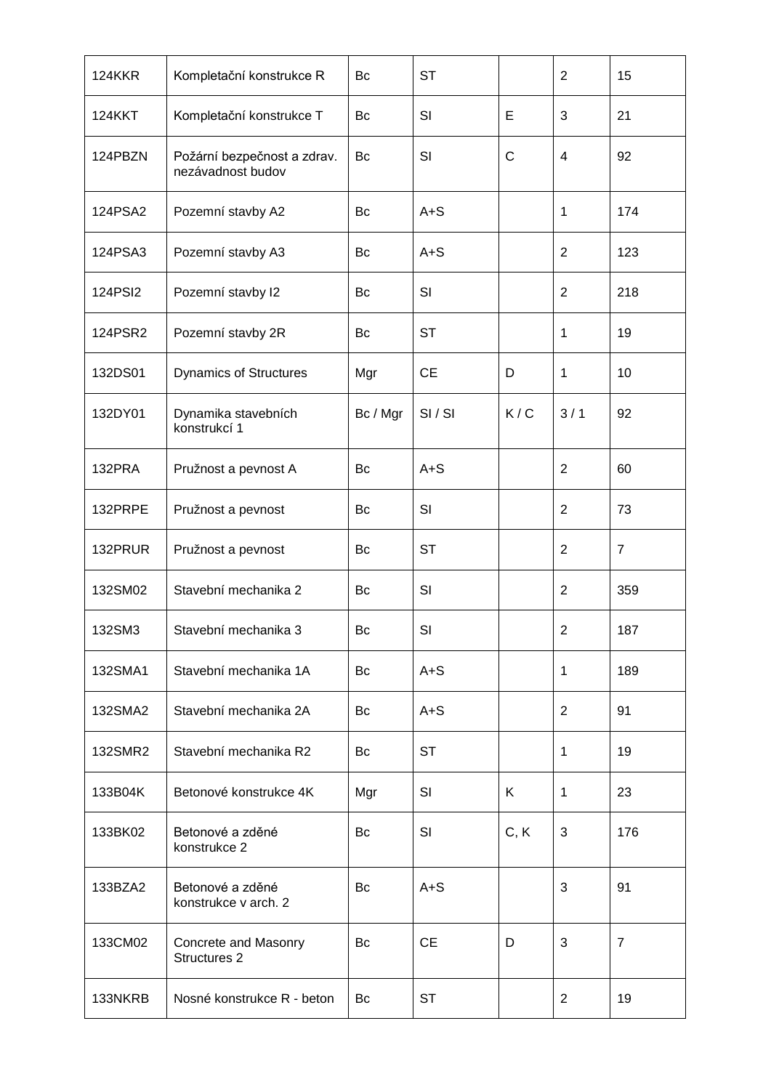| <b>124KKR</b> | Kompletační konstrukce R                         | Bc       | <b>ST</b> |              | $\overline{2}$          | 15             |
|---------------|--------------------------------------------------|----------|-----------|--------------|-------------------------|----------------|
| <b>124KKT</b> | Kompletační konstrukce T                         | Bc       | SI        | E            | 3                       | 21             |
| 124PBZN       | Požární bezpečnost a zdrav.<br>nezávadnost budov | Bc       | SI        | $\mathsf{C}$ | $\overline{\mathbf{4}}$ | 92             |
| 124PSA2       | Pozemní stavby A2                                | Bc       | $A + S$   |              | 1                       | 174            |
| 124PSA3       | Pozemní stavby A3                                | Bc       | $A + S$   |              | $\overline{2}$          | 123            |
| 124PSI2       | Pozemní stavby l2                                | Bc       | SI        |              | $\overline{2}$          | 218            |
| 124PSR2       | Pozemní stavby 2R                                | Bc       | <b>ST</b> |              | 1                       | 19             |
| 132DS01       | <b>Dynamics of Structures</b>                    | Mgr      | <b>CE</b> | D            | 1                       | 10             |
| 132DY01       | Dynamika stavebních<br>konstrukcí 1              | Bc / Mgr | SI/SI     | K/C          | 3/1                     | 92             |
| 132PRA        | Pružnost a pevnost A                             | Bc       | $A + S$   |              | $\overline{2}$          | 60             |
| 132PRPE       | Pružnost a pevnost                               | Bc       | SI        |              | $\overline{2}$          | 73             |
| 132PRUR       | Pružnost a pevnost                               | Bc       | <b>ST</b> |              | $\overline{2}$          | $\overline{7}$ |
| 132SM02       | Stavební mechanika 2                             | Bc       | SI        |              | $\overline{2}$          | 359            |
| 132SM3        | Stavební mechanika 3                             | Bc       | SI        |              | $\overline{2}$          | 187            |
| 132SMA1       | Stavební mechanika 1A                            | Bc       | $A + S$   |              | 1                       | 189            |
| 132SMA2       | Stavební mechanika 2A                            | Bc       | $A + S$   |              | $\overline{2}$          | 91             |
| 132SMR2       | Stavební mechanika R2                            | Bc       | <b>ST</b> |              | 1                       | 19             |
| 133B04K       | Betonové konstrukce 4K                           | Mgr      | SI        | K            | 1                       | 23             |
| 133BK02       | Betonové a zděné<br>konstrukce 2                 | Bc       | SI        | C, K         | 3                       | 176            |
| 133BZA2       | Betonové a zděné<br>konstrukce v arch. 2         | Bc       | $A + S$   |              | 3                       | 91             |
| 133CM02       | Concrete and Masonry<br>Structures 2             | Bc       | <b>CE</b> | D            | 3                       | $\overline{7}$ |
| 133NKRB       | Nosné konstrukce R - beton                       | Bc       | <b>ST</b> |              | 2                       | 19             |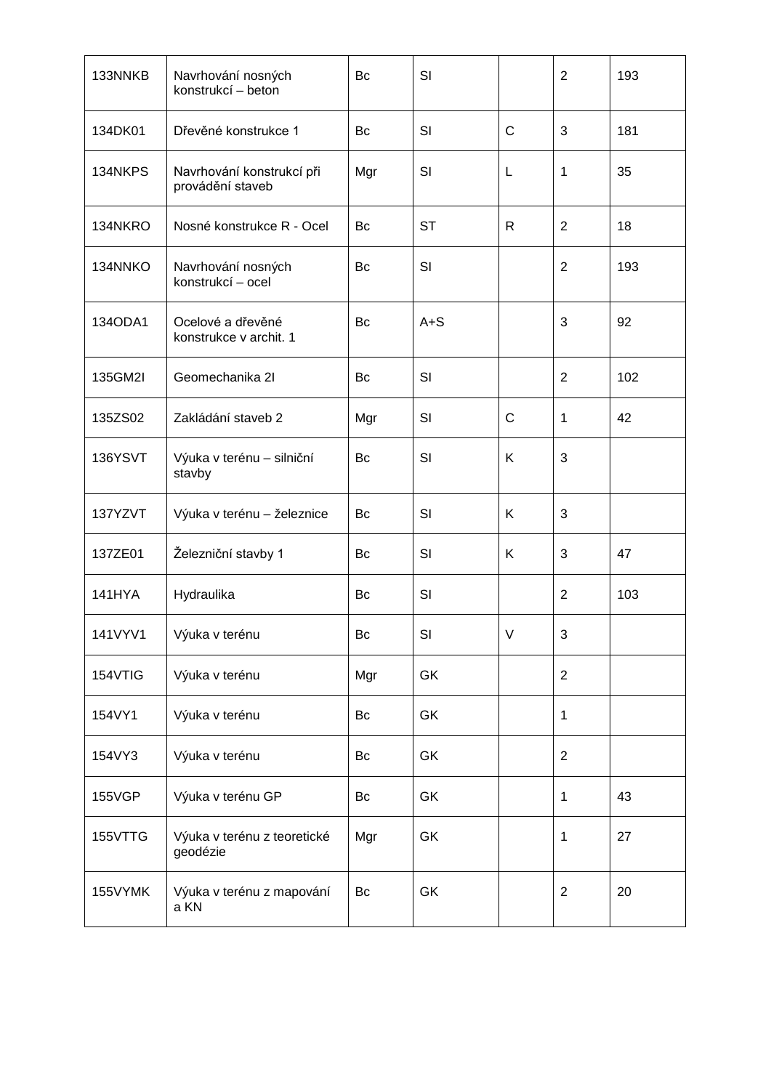| 133NNKB       | Navrhování nosných<br>konstrukcí – beton      | Bc        | SI        |              | 2              | 193 |
|---------------|-----------------------------------------------|-----------|-----------|--------------|----------------|-----|
| 134DK01       | Dřevěné konstrukce 1                          | Bc        | SI        | $\mathsf{C}$ | 3              | 181 |
| 134NKPS       | Navrhování konstrukcí při<br>provádění staveb | Mgr       | SI        | L            | 1              | 35  |
| 134NKRO       | Nosné konstrukce R - Ocel                     | Bc        | <b>ST</b> | $\mathsf{R}$ | $\overline{2}$ | 18  |
| 134NNKO       | Navrhování nosných<br>konstrukcí – ocel       | Bc        | SI        |              | $\overline{2}$ | 193 |
| 134ODA1       | Ocelové a dřevěné<br>konstrukce v archit. 1   | Bc        | $A + S$   |              | $\sqrt{3}$     | 92  |
| 135GM2I       | Geomechanika 21                               | Bc        | SI        |              | $\overline{2}$ | 102 |
| 135ZS02       | Zakládání staveb 2                            | Mgr       | SI        | $\mathsf{C}$ | 1              | 42  |
| 136YSVT       | Výuka v terénu - silniční<br>stavby           | Bc        | SI        | K            | 3              |     |
| 137YZVT       | Výuka v terénu - železnice                    | Bc        | SI        | K            | 3              |     |
| 137ZE01       | Železniční stavby 1                           | Bc        | SI        | K            | 3              | 47  |
| <b>141HYA</b> | Hydraulika                                    | Bc        | SI        |              | $\overline{2}$ | 103 |
| 141VYV1       | Výuka v terénu                                | $\sf{B}c$ | SI        | V            | 3              |     |
| 154VTIG       | Výuka v terénu                                | Mgr       | GK        |              | $\overline{2}$ |     |
| 154VY1        | Výuka v terénu                                | Bc        | GK        |              | 1              |     |
| 154VY3        | Výuka v terénu                                | Bc        | GK        |              | $\overline{2}$ |     |
| <b>155VGP</b> | Výuka v terénu GP                             | Bc        | GK        |              | 1              | 43  |
| 155VTTG       | Výuka v terénu z teoretické<br>geodézie       | Mgr       | GK        |              | 1              | 27  |
| 155VYMK       | Výuka v terénu z mapování<br>a KN             | Bc        | GK        |              | $\overline{2}$ | 20  |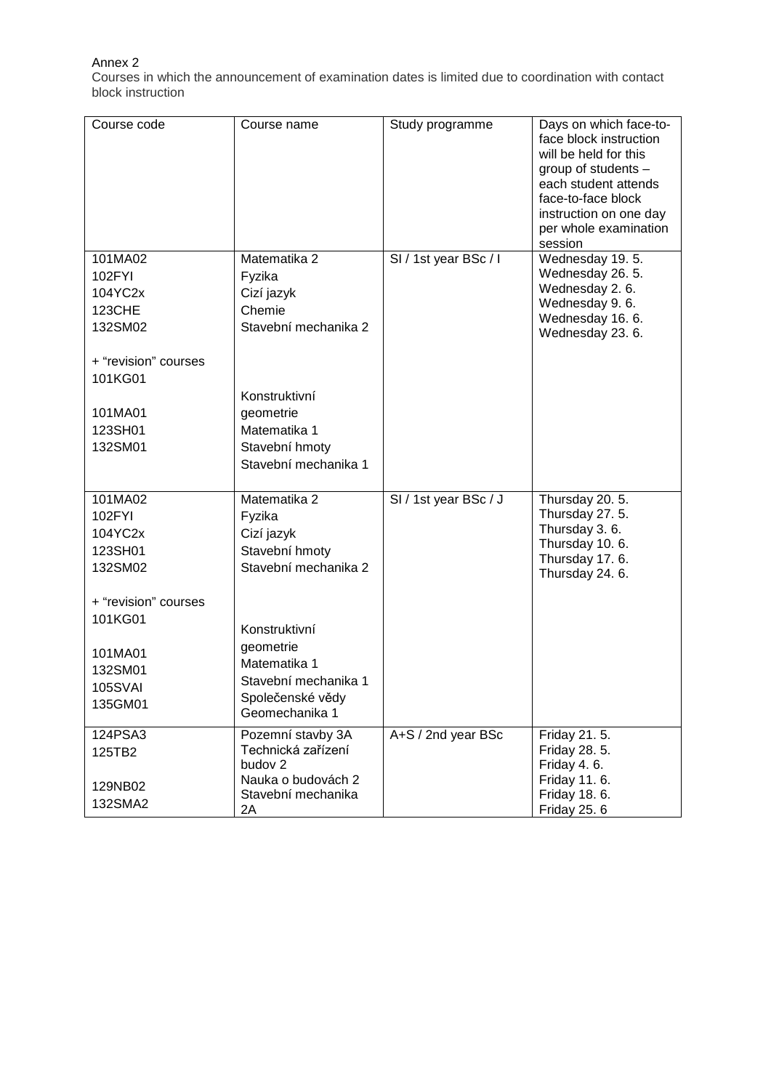# Annex 2

Courses in which the announcement of examination dates is limited due to coordination with contact block instruction

| Course code                                                                           | Course name                                                                                                     | Study programme       | Days on which face-to-<br>face block instruction<br>will be held for this<br>group of students -<br>each student attends<br>face-to-face block<br>instruction on one day<br>per whole examination<br>session |
|---------------------------------------------------------------------------------------|-----------------------------------------------------------------------------------------------------------------|-----------------------|--------------------------------------------------------------------------------------------------------------------------------------------------------------------------------------------------------------|
| 101MA02<br>102FYI<br>104YC2x<br><b>123CHE</b><br>132SM02                              | Matematika 2<br>Fyzika<br>Cizí jazyk<br>Chemie<br>Stavební mechanika 2                                          | SI / 1st year BSc / I | Wednesday 19.5.<br>Wednesday 26. 5.<br>Wednesday 2.6.<br>Wednesday 9.6.<br>Wednesday 16. 6.<br>Wednesday 23. 6.                                                                                              |
| + "revision" courses<br>101KG01<br>101MA01<br>123SH01<br>132SM01                      | Konstruktivní<br>geometrie<br>Matematika 1<br>Stavební hmoty<br>Stavební mechanika 1                            |                       |                                                                                                                                                                                                              |
| 101MA02<br>102FYI<br>104YC2x<br>123SH01<br>132SM02<br>+ "revision" courses<br>101KG01 | Matematika 2<br>Fyzika<br>Cizí jazyk<br>Stavební hmoty<br>Stavební mechanika 2<br>Konstruktivní                 | SI / 1st year BSc / J | Thursday 20. 5.<br>Thursday 27.5.<br>Thursday 3.6.<br>Thursday 10.6.<br>Thursday 17.6.<br>Thursday 24. 6.                                                                                                    |
| 101MA01<br>132SM01<br><b>105SVAI</b><br>135GM01                                       | geometrie<br>Matematika 1<br>Stavební mechanika 1<br>Společenské vědy<br>Geomechanika 1                         |                       |                                                                                                                                                                                                              |
| 124PSA3<br>125TB2<br>129NB02<br>132SMA2                                               | Pozemní stavby 3A<br>Technická zařízení<br>budov <sub>2</sub><br>Nauka o budovách 2<br>Stavební mechanika<br>2A | A+S / 2nd year BSc    | Friday 21. 5.<br>Friday 28. 5.<br>Friday 4.6.<br>Friday 11.6.<br>Friday 18. 6.<br><b>Friday 25.6</b>                                                                                                         |